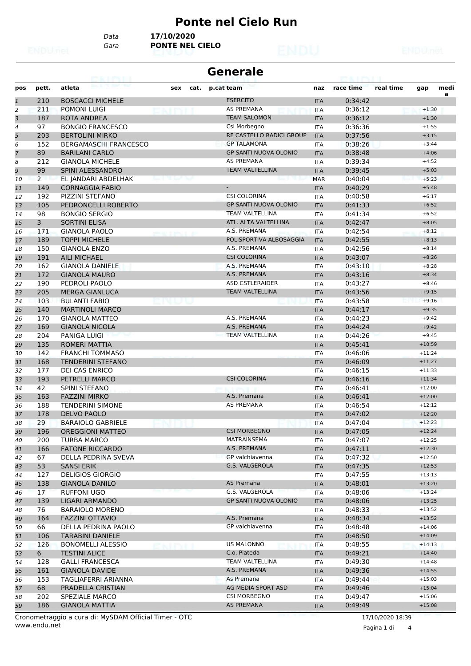#### **Ponte nel Cielo Run**

*Data* **17/10/2020**

*Gara* **PONTE NEL CIELO**

| <b>Generale</b><br>eachry III |                |                              |     |      |                              |            |           |           |          |      |
|-------------------------------|----------------|------------------------------|-----|------|------------------------------|------------|-----------|-----------|----------|------|
| pos                           | pett.          | atleta                       | sex | cat. | p.cat team                   | naz        | race time | real time | gap      | medi |
| $\mathbf{1}$                  | 210            | <b>BOSCACCI MICHELE</b>      |     |      | <b>ESERCITO</b>              | <b>ITA</b> | 0:34:42   |           |          | a    |
| $\overline{c}$                | 211            | <b>POMONI LUIGI</b>          |     |      | <b>AS PREMANA</b>            | <b>ITA</b> | 0:36:12   |           | $+1:30$  |      |
| 3                             | 187            | <b>ROTA ANDREA</b>           |     |      | <b>TEAM SALOMON</b>          | <b>ITA</b> | 0:36:12   |           | $+1:30$  |      |
| 4                             | 97             | <b>BONGIO FRANCESCO</b>      |     |      | Csi Morbegno                 | <b>ITA</b> | 0:36:36   |           | $+1:55$  |      |
| 5                             | 203            | <b>BERTOLINI MIRKO</b>       |     |      | RE CASTELLO RADICI GROUP     | <b>ITA</b> | 0:37:56   |           | $+3:15$  |      |
| 6                             | 152            | <b>BERGAMASCHI FRANCESCO</b> |     |      | <b>GP TALAMONA</b>           | ITA        | 0:38:26   |           | $+3:44$  |      |
| 7                             | 89             | <b>BARILANI CARLO</b>        |     |      | <b>GP SANTI NUOVA OLONIO</b> | <b>ITA</b> | 0:38:48   |           | $+4:06$  |      |
| 8                             | 212            | <b>GIANOLA MICHELE</b>       |     |      | <b>AS PREMANA</b>            | <b>ITA</b> | 0:39:34   |           | $+4:52$  |      |
| 9                             | 99             | SPINI ALESSANDRO             |     |      | <b>TEAM VALTELLINA</b>       | <b>ITA</b> | 0:39:45   |           | $+5:03$  |      |
| 10                            | $\mathbf{2}$   | EL JANDARI ABDELHAK          |     |      |                              | <b>MAR</b> | 0:40:04   |           | $+5:23$  |      |
| 11                            | 149            | <b>CORNAGGIA FABIO</b>       |     |      |                              | <b>ITA</b> | 0:40:29   |           | $+5:48$  |      |
| 12                            | 192            | PIZZINI STEFANO              |     |      | <b>CSI COLORINA</b>          | ITA        | 0:40:58   |           | $+6:17$  |      |
| 13                            | 105            | PEDRONCELLI ROBERTO          |     |      | <b>GP SANTI NUOVA OLONIO</b> | <b>ITA</b> | 0:41:33   |           | $+6:52$  |      |
| 14                            | 98             | <b>BONGIO SERGIO</b>         |     |      | <b>TEAM VALTELLINA</b>       | <b>ITA</b> | 0:41:34   |           | $+6:52$  |      |
| 15                            | $\overline{3}$ | <b>SORTINI ELISA</b>         |     |      | ATL. ALTA VALTELLINA         | <b>ITA</b> | 0:42:47   |           | $+8:05$  |      |
| 16                            | 171            | <b>GIANOLA PAOLO</b>         |     |      | A.S. PREMANA                 | <b>ITA</b> | 0:42:54   |           | $+8:12$  |      |
| 17                            | 189            | <b>TOPPI MICHELE</b>         |     |      | POLISPORTIVA ALBOSAGGIA      | <b>ITA</b> | 0:42:55   |           | $+8:13$  |      |
| 18                            | 150            | <b>GIANOLA ENZO</b>          |     |      | A.S. PREMANA                 | ITA        | 0:42:56   |           | $+8:14$  |      |
| 19                            | 191            | <b>AILI MICHAEL</b>          |     |      | <b>CSI COLORINA</b>          | <b>ITA</b> | 0:43:07   |           | $+8:26$  |      |
| 20                            | 162            | <b>GIANOLA DANIELE</b>       |     |      | A.S. PREMANA                 | <b>ITA</b> | 0:43:10   |           | $+8:28$  |      |
| 21                            | 172            | <b>GIANOLA MAURO</b>         |     |      | A.S. PREMANA                 | <b>ITA</b> | 0:43:16   |           | $+8:34$  |      |
| 22                            | 190            | PEDROLI PAOLO                |     |      | <b>ASD CSTLERAIDER</b>       | <b>ITA</b> | 0:43:27   |           | $+8:46$  |      |
| 23                            | 205            | <b>MERGA GIANLUCA</b>        |     |      | <b>TEAM VALTELLINA</b>       | <b>ITA</b> | 0:43:56   |           | $+9:15$  |      |
| 24                            | 103            | <b>BULANTI FABIO</b>         |     |      |                              | <b>ITA</b> | 0:43:58   |           | $+9:16$  |      |
| 25                            | 140            | <b>MARTINOLI MARCO</b>       |     |      |                              | <b>ITA</b> | 0:44:17   |           | $+9:35$  |      |
| 26                            | 170            | <b>GIANOLA MATTEO</b>        |     |      | A.S. PREMANA                 | <b>ITA</b> | 0:44:23   |           | $+9:42$  |      |
| 27                            | 169            | <b>GIANOLA NICOLA</b>        |     |      | A.S. PREMANA                 | <b>ITA</b> | 0:44:24   |           | $+9:42$  |      |
| 28                            | 204            | PANIGA LUIGI                 |     |      | <b>TEAM VALTELLINA</b>       | <b>ITA</b> | 0:44:26   |           | $+9:45$  |      |
| 29                            | 135            | ROMERI MATTIA                |     |      |                              | <b>ITA</b> | 0:45:41   |           | $+10:59$ |      |
| 30                            | 142            | <b>FRANCHI TOMMASO</b>       |     |      |                              | <b>ITA</b> | 0:46:06   |           | $+11:24$ |      |
| 31                            | 168            | <b>TENDERINI STEFANO</b>     |     |      |                              | <b>ITA</b> | 0:46:09   |           | $+11:27$ |      |
| 32                            | 177            | <b>DEI CAS ENRICO</b>        |     |      |                              | <b>ITA</b> | 0:46:15   |           | $+11:33$ |      |
| 33                            | 193            | PETRELLI MARCO               |     |      | <b>CSI COLORINA</b>          | <b>ITA</b> | 0:46:16   |           | $+11:34$ |      |
| 34                            | 42             | SPINI STEFANO                |     |      |                              | ITA        | 0:46:41   |           | $+12:00$ |      |
| 35                            | 163            | <b>FAZZINI MIRKO</b>         |     |      | A.S. Premana                 | <b>ITA</b> | 0:46:41   |           | $+12:00$ |      |
| 36                            | 188            | <b>TENDERINI SIMONE</b>      |     |      | <b>AS PREMANA</b>            | ITA        | 0:46:54   |           | $+12:12$ |      |
| 37                            | 178            | <b>DELVO PAOLO</b>           |     |      |                              | <b>ITA</b> | 0:47:02   |           | $+12:20$ |      |
| 38                            | 29             | <b>BARAIOLO GABRIELE</b>     |     |      |                              | <b>ITA</b> | 0:47:04   |           | $+12:23$ |      |
| 39                            | 196            | <b>OREGGIONI MATTEO</b>      |     |      | <b>CSI MORBEGNO</b>          | <b>ITA</b> | 0:47:05   |           | $+12:24$ |      |
| 40                            | 200            | TURBA MARCO                  |     |      | <b>MATRAINSEMA</b>           | ITA        | 0:47:07   |           | $+12:25$ |      |
| 41                            | 166            | <b>FATONE RICCARDO</b>       |     |      | A.S. PREMANA                 | <b>ITA</b> | 0:47:11   |           | $+12:30$ |      |
| 42                            | 67             | DELLA PEDRINA SVEVA          |     |      | GP valchiavenna              | ITA        | 0:47:32   |           | $+12:50$ |      |
| 43                            | 53             | <b>SANSI ERIK</b>            |     |      | G.S. VALGEROLA               | <b>ITA</b> | 0:47:35   |           | $+12:53$ |      |
| 44                            | 127            | <b>DELIGIOS GIORGIO</b>      |     |      |                              | ITA        | 0:47:55   |           | $+13:13$ |      |
| 45                            | 138            | <b>GIANOLA DANILO</b>        |     |      | AS Premana                   | <b>ITA</b> | 0:48:01   |           | $+13:20$ |      |
| 46                            | 17             | RUFFONI UGO                  |     |      | G.S. VALGEROLA               | <b>ITA</b> | 0:48:06   |           | $+13:24$ |      |
| 47                            | 139            | LIGARI ARMANDO               |     |      | GP SANTI NUOVA OLONIO        | <b>ITA</b> | 0:48:06   |           | $+13:25$ |      |
| 48                            | 76             | <b>BARAIOLO MORENO</b>       |     |      |                              | ITA        | 0:48:33   |           | $+13:52$ |      |
| 49                            | 164            | <b>FAZZINI OTTAVIO</b>       |     |      | A.S. Premana                 | <b>ITA</b> | 0:48:34   |           | $+13:52$ |      |
| 50                            | 66             | DELLA PEDRINA PAOLO          |     |      | GP valchiavenna              | ITA        | 0:48:48   |           | $+14:06$ |      |
| 51                            | 106            | <b>TARABINI DANIELE</b>      |     |      |                              | <b>ITA</b> | 0:48:50   |           | $+14:09$ |      |
| 52                            | 126            | <b>BONOMELLI ALESSIO</b>     |     |      | US MALONNO                   | ITA        | 0:48:55   |           | $+14:13$ |      |
| 53                            | 6              | <b>TESTINI ALICE</b>         |     |      | C.o. Piateda                 | <b>ITA</b> | 0:49:21   |           | $+14:40$ |      |
| 54                            | 128            | <b>GALLI FRANCESCA</b>       |     |      | TEAM VALTELLINA              | ITA        | 0:49:30   |           | $+14:48$ |      |
| 55                            | 161            | <b>GIANOLA DAVIDE</b>        |     |      | A.S. PREMANA                 | <b>ITA</b> | 0:49:36   |           | $+14:55$ |      |
| 56                            | 153            | TAGLIAFERRI ARIANNA          |     |      | As Premana                   | ITA        | 0:49:44   |           | $+15:03$ |      |
| 57                            | 68             | PRADELLA CRISTIAN            |     |      | AG MEDIA SPORT ASD           | <b>ITA</b> | 0:49:46   |           | $+15:04$ |      |
| 58                            | 202            | SPEZIALE MARCO               |     |      | <b>CSI MORBEGNO</b>          | ITA        | 0:49:47   |           | $+15:06$ |      |
| 59                            | 186            | <b>GIANOLA MATTIA</b>        |     |      | AS PREMANA                   | <b>ITA</b> | 0:49:49   |           | $+15:08$ |      |

www.endu.net Cronometraggio a cura di: MySDAM Official Timer - OTC 17/10/2020 18:39

Pagina 1 di 4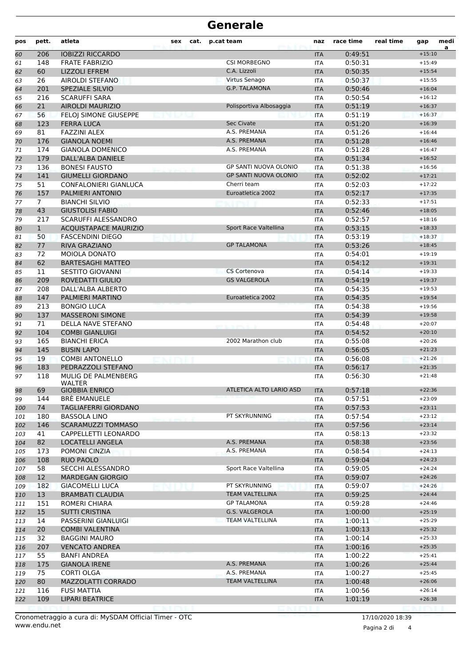## **Generale**

| pos | pett.          | atleta                       | sex<br>cat. | p.cat team                   | naz        | race time | real time | gap      | medi<br>a |
|-----|----------------|------------------------------|-------------|------------------------------|------------|-----------|-----------|----------|-----------|
| 60  | 206            | <b>IOBIZZI RICCARDO</b>      |             |                              | <b>ITA</b> | 0:49:51   |           | $+15:10$ |           |
| 61  | 148            | <b>FRATE FABRIZIO</b>        |             | <b>CSI MORBEGNO</b>          | <b>ITA</b> | 0:50:31   |           | $+15:49$ |           |
| 62  | 60             | <b>LIZZOLI EFREM</b>         |             | C.A. Lizzoli                 | <b>ITA</b> | 0:50:35   |           | $+15:54$ |           |
| 63  | 26             | AIROLDI STEFANO              |             | Virtus Senago                | <b>ITA</b> | 0:50:37   |           | $+15:55$ |           |
| 64  | 201            | SPEZIALE SILVIO              |             | <b>G.P. TALAMONA</b>         | <b>ITA</b> | 0:50:46   |           | $+16:04$ |           |
| 65  | 216            | <b>SCARUFFI SARA</b>         |             |                              | <b>ITA</b> | 0:50:54   |           | $+16:12$ |           |
| 66  | 21             | <b>AIROLDI MAURIZIO</b>      |             | Polisportiva Albosaggia      | <b>ITA</b> | 0:51:19   |           | $+16:37$ |           |
| 67  | 56             | FELOJ SIMONE GIUSEPPE        |             |                              | <b>ITA</b> | 0:51:19   |           | $+16:37$ |           |
| 68  | 123            | <b>FERRA LUCA</b>            |             | <b>Sec Civate</b>            | <b>ITA</b> | 0:51:20   |           | $+16:39$ |           |
| 69  | 81             | <b>FAZZINI ALEX</b>          |             | A.S. PREMANA                 | <b>ITA</b> | 0:51:26   |           | $+16:44$ |           |
| 70  | 176            | <b>GIANOLA NOEMI</b>         |             | A.S. PREMANA                 | <b>ITA</b> | 0:51:28   |           | $+16:46$ |           |
| 71  | 174            | <b>GIANOLA DOMENICO</b>      |             | A.S. PREMANA                 | <b>ITA</b> | 0:51:28   |           | $+16:47$ |           |
| 72  | 179            | DALL'ALBA DANIELE            |             |                              | <b>ITA</b> | 0:51:34   |           | $+16:52$ |           |
| 73  | 136            | <b>BONESI FAUSTO</b>         |             | <b>GP SANTI NUOVA OLONIO</b> | <b>ITA</b> | 0:51:38   |           | $+16:56$ |           |
| 74  | 141            | <b>GIUMELLI GIORDANO</b>     |             | <b>GP SANTI NUOVA OLONIO</b> | <b>ITA</b> | 0:52:02   |           | $+17:21$ |           |
| 75  | 51             | CONFALONIERI GIANLUCA        |             | Cherri team                  | <b>ITA</b> | 0:52:03   |           | $+17:22$ |           |
| 76  | 157            | PALMIERI ANTONIO             |             | Euroatletica 2002            | <b>ITA</b> | 0:52:17   |           | $+17:35$ |           |
| 77  | $\overline{7}$ | <b>BIANCHI SILVIO</b>        |             |                              | <b>ITA</b> | 0:52:33   |           | $+17:51$ |           |
| 78  | 43             | <b>GIUSTOLISI FABIO</b>      |             |                              | <b>ITA</b> | 0:52:46   |           | $+18:05$ |           |
| 79  | 217            | SCARUFFI ALESSANDRO          |             |                              | <b>ITA</b> | 0:52:57   |           | $+18:16$ |           |
| 80  | $\mathbf{1}$   | <b>ACQUISTAPACE MAURIZIO</b> |             | Sport Race Valtellina        | <b>ITA</b> | 0:53:15   |           | $+18:33$ |           |
| 81  | 50             | <b>FASCENDINI DIEGO</b>      |             |                              | <b>ITA</b> | 0:53:19   |           | $+18:37$ |           |
| 82  | 77             | <b>RIVA GRAZIANO</b>         |             | <b>GP TALAMONA</b>           | <b>ITA</b> | 0:53:26   |           | $+18:45$ |           |
| 83  | 72             | <b>MOIOLA DONATO</b>         |             |                              | <b>ITA</b> | 0:54:01   |           | $+19:19$ |           |
| 84  | 62             | <b>BARTESAGHI MATTEO</b>     |             |                              | <b>ITA</b> | 0:54:12   |           | $+19:31$ |           |
| 85  | 11             | <b>SESTITO GIOVANNI</b>      |             | CS Cortenova                 | <b>ITA</b> | 0:54:14   |           | $+19:33$ |           |
| 86  | 209            | <b>ROVEDATTI GIULIO</b>      |             | <b>GS VALGEROLA</b>          | <b>ITA</b> | 0:54:19   |           | $+19:37$ |           |
| 87  | 208            | DALL'ALBA ALBERTO            |             |                              | <b>ITA</b> | 0:54:35   |           | $+19:53$ |           |
| 88  | 147            | PALMIERI MARTINO             |             | Euroatletica 2002            | <b>ITA</b> | 0:54:35   |           | $+19:54$ |           |
| 89  | 213            | <b>BONGIO LUCA</b>           |             |                              | <b>ITA</b> | 0:54:38   |           | $+19:56$ |           |
| 90  | 137            | <b>MASSERONI SIMONE</b>      |             |                              | <b>ITA</b> | 0:54:39   |           | $+19:58$ |           |
| 91  | 71             | DELLA NAVE STEFANO           |             |                              | <b>ITA</b> | 0:54:48   |           | $+20:07$ |           |
| 92  | 104            | <b>COMBI GIANLUIGI</b>       |             |                              | <b>ITA</b> | 0:54:52   |           | $+20:10$ |           |
| 93  | 165            | <b>BIANCHI ERICA</b>         |             | 2002 Marathon club           | <b>ITA</b> | 0:55:08   |           | $+20:26$ |           |
| 94  | 145            | <b>BUSIN LAPO</b>            |             |                              | <b>ITA</b> | 0:56:05   |           | $+21:23$ |           |
| 95  | 19             | <b>COMBI ANTONELLO</b>       |             |                              | <b>ITA</b> | 0:56:08   |           | $+21:26$ |           |
| 96  | 183            | PEDRAZZOLI STEFANO           |             |                              | <b>ITA</b> | 0:56:17   |           | $+21:35$ |           |
| 97  | 118            | MULIG DE PALMENBERG          |             |                              | <b>ITA</b> | 0:56:30   |           | $+21:48$ |           |
|     |                | WALTER                       |             |                              |            |           |           |          |           |
| 98  | 69             | <b>GIOBBIA ENRICO</b>        |             | ATLETICA ALTO LARIO ASD      | ПA         | 0:57:18   |           | +22:36   |           |
| 99  | 144            | <b>BRE EMANUELE</b>          |             |                              | ITA        | 0:57:51   |           | $+23:09$ |           |
| 100 | 74             | TAGLIAFERRI GIORDANO         |             |                              | <b>ITA</b> | 0:57:53   |           | $+23:11$ |           |
| 101 | 180            | <b>BASSOLA LINO</b>          |             | PT SKYRUNNING                | <b>ITA</b> | 0:57:54   |           | $+23:12$ |           |
| 102 | 146            | <b>SCARAMUZZI TOMMASO</b>    |             |                              | <b>ITA</b> | 0:57:56   |           | $+23:14$ |           |
| 103 | 41             | CAPPELLETTI LEONARDO         |             |                              | <b>ITA</b> | 0:58:13   |           | $+23:32$ |           |
| 104 | 82             | LOCATELLI ANGELA             |             | A.S. PREMANA                 | <b>ITA</b> | 0:58:38   |           | $+23:56$ |           |
| 105 | 173            | POMONI CINZIA                |             | A.S. PREMANA                 | ITA        | 0:58:54   |           | $+24:13$ |           |
| 106 | 108            | RUO PAOLO                    |             |                              | <b>ITA</b> | 0:59:04   |           | $+24:23$ |           |
| 107 | 58             | SECCHI ALESSANDRO            |             | Sport Race Valtellina        | <b>ITA</b> | 0:59:05   |           | $+24:24$ |           |
| 108 | 12             | <b>MARDEGAN GIORGIO</b>      |             |                              | <b>ITA</b> | 0:59:07   |           | $+24:26$ |           |
| 109 | 182            | <b>GIACOMELLI LUCA</b>       |             | PT SKYRUNNING                | <b>ITA</b> | 0:59:07   |           | $+24:26$ |           |
| 110 | 13             | <b>BRAMBATI CLAUDIA</b>      |             | <b>TEAM VALTELLINA</b>       | <b>ITA</b> | 0:59:25   |           | $+24:44$ |           |
| 111 | 151            | ROMERI CHIARA                |             | <b>GP TALAMONA</b>           | <b>ITA</b> | 0:59:28   |           | $+24:46$ |           |
| 112 | 15             | <b>SUTTI CRISTINA</b>        |             | G.S. VALGEROLA               | <b>ITA</b> | 1:00:00   |           | $+25:19$ |           |
| 113 | 14             | PASSERINI GIANLUIGI          |             | <b>TEAM VALTELLINA</b>       | <b>ITA</b> | 1:00:11   |           | $+25:29$ |           |
| 114 | 20             | <b>COMBI VALENTINA</b>       |             |                              | <b>ITA</b> | 1:00:13   |           | $+25:32$ |           |
| 115 | 32             | <b>BAGGINI MAURO</b>         |             |                              | <b>ITA</b> | 1:00:14   |           | $+25:33$ |           |
| 116 | 207            | <b>VENCATO ANDREA</b>        |             |                              | <b>ITA</b> | 1:00:16   |           | $+25:35$ |           |
| 117 | 55             | <b>BANFI ANDREA</b>          |             |                              | <b>ITA</b> | 1:00:22   |           | $+25:41$ |           |
| 118 | 175            | <b>GIANOLA IRENE</b>         |             | A.S. PREMANA                 | <b>ITA</b> | 1:00:26   |           | $+25:44$ |           |
| 119 | 75             | CORTI OLGA                   |             | A.S. PREMANA                 | <b>ITA</b> | 1:00:27   |           | $+25:45$ |           |
| 120 | 80             | <b>MAZZOLATTI CORRADO</b>    |             | <b>TEAM VALTELLINA</b>       | <b>ITA</b> | 1:00:48   |           | $+26:06$ |           |
| 121 | 116            | <b>FUSI MATTIA</b>           |             |                              | <b>ITA</b> | 1:00:56   |           | $+26:14$ |           |
| 122 | 109            | <b>LIPARI BEATRICE</b>       |             |                              | <b>ITA</b> | 1:01:19   |           | $+26:38$ |           |
|     |                |                              |             |                              |            |           |           |          |           |

www.endu.net Cronometraggio a cura di: MySDAM Official Timer - OTC 17/10/2020 18:39

Pagina 2 di 4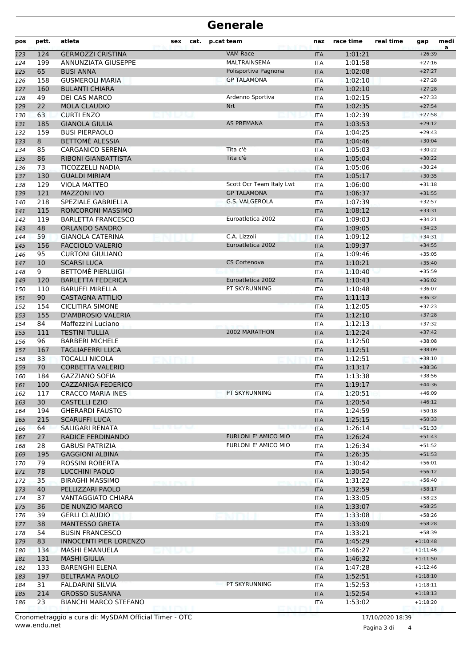## **Generale**

| pos | pett. | atleta                        | sex              | cat. | p.cat team               | naz        | race time | real time | gap        | medi<br>a |
|-----|-------|-------------------------------|------------------|------|--------------------------|------------|-----------|-----------|------------|-----------|
| 123 | 124   | <b>GERMOZZI CRISTINA</b>      |                  |      | <b>VAM Race</b>          | <b>ITA</b> | 1:01:21   |           | $+26:39$   |           |
| 124 | 199   | ANNUNZIATA GIUSEPPE           |                  |      | <b>MALTRAINSEMA</b>      | <b>ITA</b> | 1:01:58   |           | $+27:16$   |           |
| 125 | 65    | <b>BUSI ANNA</b>              |                  |      | Polisportiva Pagnona     | <b>ITA</b> | 1:02:08   |           | $+27:27$   |           |
| 126 | 158   | <b>GUSMEROLI MARIA</b>        |                  |      | <b>GP TALAMONA</b>       | <b>ITA</b> | 1:02:10   |           | $+27:28$   |           |
| 127 | 160   | <b>BULANTI CHIARA</b>         |                  |      |                          | <b>ITA</b> | 1:02:10   |           | $+27:28$   |           |
| 128 | 49    | DEI CAS MARCO                 |                  |      | Ardenno Sportiva         | <b>ITA</b> | 1:02:15   |           | $+27:33$   |           |
| 129 | 22    | <b>MOLA CLAUDIO</b>           |                  |      | Nrt                      | <b>ITA</b> | 1:02:35   |           | $+27:54$   |           |
| 130 | 63    | <b>CURTI ENZO</b>             |                  |      |                          | <b>ITA</b> | 1:02:39   |           | $+27:58$   |           |
| 131 | 185   | <b>GIANOLA GIULIA</b>         |                  |      | <b>AS PREMANA</b>        | <b>ITA</b> | 1:03:53   |           | $+29:12$   |           |
| 132 | 159   | <b>BUSI PIERPAOLO</b>         |                  |      |                          | <b>ITA</b> | 1:04:25   |           | $+29:43$   |           |
| 133 | 8     | BETTOME ALESSIA               |                  |      |                          | <b>ITA</b> | 1:04:46   |           | $+30:04$   |           |
| 134 | 85    | <b>CARGANICO SERENA</b>       |                  |      | Tita c'è                 | <b>ITA</b> | 1:05:03   |           | $+30:22$   |           |
| 135 | 86    | RIBONI GIANBATTISTA           |                  |      | Tita c'è                 | <b>ITA</b> | 1:05:04   |           | $+30:22$   |           |
| 136 | 73    | <b>TICOZZELLI NADIA</b>       |                  |      |                          | <b>ITA</b> | 1:05:06   |           | $+30:24$   |           |
| 137 | 130   | <b>GUALDI MIRIAM</b>          |                  |      |                          | <b>ITA</b> | 1:05:17   |           | $+30:35$   |           |
| 138 | 129   | <b>VIOLA MATTEO</b>           |                  |      | Scott Ocr Team Italy Lwt | <b>ITA</b> | 1:06:00   |           | $+31:18$   |           |
| 139 | 121   | <b>MAZZONI IVO</b>            |                  |      | <b>GP TALAMONA</b>       | <b>ITA</b> | 1:06:37   |           | $+31:55$   |           |
| 140 | 218   | SPEZIALE GABRIELLA            |                  |      | G.S. VALGEROLA           | <b>ITA</b> | 1:07:39   |           | $+32:57$   |           |
| 141 | 115   | RONCORONI MASSIMO             |                  |      |                          | <b>ITA</b> | 1:08:12   |           | $+33:31$   |           |
| 142 | 119   | <b>BARLETTA FRANCESCO</b>     |                  |      | Euroatletica 2002        | <b>ITA</b> | 1:09:03   |           | $+34:21$   |           |
| 143 | 48    | <b>ORLANDO SANDRO</b>         |                  |      |                          | <b>ITA</b> | 1:09:05   |           | $+34:23$   |           |
| 144 | 59    | <b>GIANOLA CATERINA</b>       |                  |      | C.A. Lizzoli             | <b>ITA</b> | 1:09:12   |           | $+34:31$   |           |
| 145 | 156   | <b>FACCIOLO VALERIO</b>       |                  |      | Euroatletica 2002        | <b>ITA</b> | 1:09:37   |           | $+34:55$   |           |
| 146 | 95    | <b>CURTONI GIULIANO</b>       |                  |      |                          | <b>ITA</b> | 1:09:46   |           | $+35:05$   |           |
| 147 | 10    | <b>SCARSI LUCA</b>            |                  |      | <b>CS Cortenova</b>      | <b>ITA</b> | 1:10:21   |           | $+35:40$   |           |
| 148 | 9     | <b>BETTOMÈ PIERLUIGI</b>      |                  |      |                          | <b>ITA</b> | 1:10:40   |           | $+35:59$   |           |
| 149 | 120   | <b>BARLETTA FEDERICA</b>      |                  |      | Euroatletica 2002        | <b>ITA</b> | 1:10:43   |           | $+36:02$   |           |
| 150 | 110   | <b>BARUFFI MIRELLA</b>        |                  |      | PT SKYRUNNING            | <b>ITA</b> | 1:10:48   |           | $+36:07$   |           |
| 151 | 90    | <b>CASTAGNA ATTILIO</b>       |                  |      |                          | <b>ITA</b> | 1:11:13   |           | $+36:32$   |           |
| 152 | 154   | <b>CICLITIRA SIMONE</b>       |                  |      |                          | <b>ITA</b> | 1:12:05   |           | $+37:23$   |           |
| 153 | 155   | D'AMBROSIO VALERIA            |                  |      |                          | <b>ITA</b> | 1:12:10   |           | $+37:28$   |           |
| 154 | 84    | Maffezzini Luciano            |                  |      |                          | <b>ITA</b> | 1:12:13   |           | $+37:32$   |           |
| 155 | 111   | <b>TESTINI TULLIA</b>         |                  |      | 2002 MARATHON            | <b>ITA</b> | 1:12:24   |           | $+37:42$   |           |
| 156 | 96    | <b>BARBERI MICHELE</b>        |                  |      |                          | <b>ITA</b> | 1:12:50   |           | $+38:08$   |           |
| 157 | 167   | <b>TAGLIAFERRI LUCA</b>       |                  |      |                          | <b>ITA</b> | 1:12:51   |           | $+38:09$   |           |
| 158 | 33    | <b>TOCALLI NICOLA</b>         |                  |      |                          | <b>ITA</b> | 1:12:51   |           | $+38:10$   |           |
| 159 | 70    | <b>CORBETTA VALERIO</b>       |                  |      |                          | <b>ITA</b> | 1:13:17   |           | $+38:36$   |           |
| 160 | 184   | <b>GAZZIANO SOFIA</b>         |                  |      |                          | <b>ITA</b> | 1:13:38   |           | $+38:56$   |           |
| 161 | 100   | <b>CAZZANIGA FEDERICO</b>     |                  |      |                          | <b>ITA</b> | 1:19:17   |           | $+44:36$   |           |
| 162 | 117   | <b>CRACCO MARIA INES</b>      |                  |      | PT SKYRUNNING            | ITA        | 1:20:51   |           | $+46:09$   |           |
| 163 | 30    | <b>CASTELLI EZIO</b>          |                  |      |                          | <b>ITA</b> | 1:20:54   |           | $+46:12$   |           |
| 164 | 194   | <b>GHERARDI FAUSTO</b>        |                  |      |                          | ITA        | 1:24:59   |           | $+50:18$   |           |
| 165 | 215   | <b>SCARUFFI LUCA</b>          |                  |      |                          | <b>ITA</b> | 1:25:15   |           | $+50:33$   |           |
| 166 | 64    | SALIGARI RENATA               |                  |      |                          | <b>ITA</b> | 1:26:14   |           | $+51:33$   |           |
| 167 | 27    | RADICE FERDINANDO             |                  |      | FURLONI E' AMICO MIO     | <b>ITA</b> | 1:26:24   |           | $+51:43$   |           |
| 168 | 28    | <b>GABUSI PATRIZIA</b>        |                  |      | FURLONI E' AMICO MIO     | ITA        | 1:26:34   |           | $+51:52$   |           |
| 169 | 195   | <b>GAGGIONI ALBINA</b>        |                  |      |                          | <b>ITA</b> | 1:26:35   |           | $+51:53$   |           |
| 170 | 79    | ROSSINI ROBERTA               |                  |      |                          | ITA        | 1:30:42   |           | $+56:01$   |           |
| 171 | 78    | LUCCHINI PAOLO                |                  |      |                          | <b>ITA</b> | 1:30:54   |           | $+56:12$   |           |
| 172 | 35    | <b>BIRAGHI MASSIMO</b>        | <b>SUSTEMBER</b> |      |                          | ITA        | 1:31:22   |           | $+56:40$   |           |
| 173 | 40    | PELLIZZARI PAOLO              |                  |      |                          | <b>ITA</b> | 1:32:59   |           | $+58:17$   |           |
| 174 | 37    | VANTAGGIATO CHIARA            |                  |      |                          | ITA        | 1:33:05   |           | $+58:23$   |           |
| 175 | 36    | DE NUNZIO MARCO               |                  |      |                          | <b>ITA</b> | 1:33:07   |           | $+58:25$   |           |
| 176 | 39    | <b>GERLI CLAUDIO</b>          |                  |      |                          | ITA        | 1:33:08   |           | $+58:26$   |           |
| 177 | 38    | <b>MANTESSO GRETA</b>         |                  |      |                          | <b>ITA</b> | 1:33:09   |           | $+58:28$   |           |
| 178 | 54    | <b>BUSIN FRANCESCO</b>        |                  |      |                          | ITA        | 1:33:21   |           | $+58:39$   |           |
| 179 | 83    | <b>INNOCENTI PIER LORENZO</b> |                  |      |                          | <b>ITA</b> | 1:45:29   |           | $+1:10:48$ |           |
| 180 | 134   | <b>MASHI EMANUELA</b>         |                  |      |                          | ITA        | 1:46:27   |           | $+1:11:46$ |           |
| 181 | 131   | <b>MASHI GIULIA</b>           |                  |      |                          | <b>ITA</b> | 1:46:32   |           | $+1:11:50$ |           |
| 182 | 133   | <b>BARENGHI ELENA</b>         |                  |      |                          | ITA        | 1:47:28   |           | $+1:12:46$ |           |
| 183 | 197   | <b>BELTRAMA PAOLO</b>         |                  |      |                          | <b>ITA</b> | 1:52:51   |           | $+1:18:10$ |           |
| 184 | 31    | <b>FALDARINI SILVIA</b>       |                  |      | PT SKYRUNNING            | ITA        | 1:52:53   |           | $+1:18:11$ |           |
| 185 | 214   | <b>GROSSO SUSANNA</b>         |                  |      |                          | <b>ITA</b> | 1:52:54   |           | $+1:18:13$ |           |
| 186 | 23    | <b>BIANCHI MARCO STEFANO</b>  |                  |      |                          | ITA        | 1:53:02   |           | $+1:18:20$ |           |
|     |       |                               |                  |      |                          |            |           |           |            |           |

Cronometraggio a cura di: MySDAM Official Timer - OTC www.endu.net

17/10/2020 18:39

Pagina 3 di  $\overline{4}$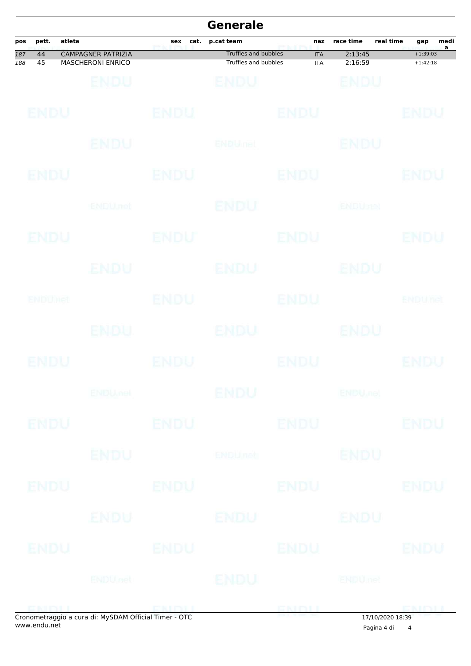|            |                |        |                                                       |             | <b>Generale</b>                              |                          |                           |           |                          |           |
|------------|----------------|--------|-------------------------------------------------------|-------------|----------------------------------------------|--------------------------|---------------------------|-----------|--------------------------|-----------|
| pos        | pett.          | atleta |                                                       | sex<br>cat. | p.cat team                                   | naz                      | race time                 | real time | gap                      | medi<br>a |
| 187<br>188 | 44<br>45       |        | <b>CAMPAGNER PATRIZIA</b><br><b>MASCHERONI ENRICO</b> |             | Truffles and bubbles<br>Truffles and bubbles | <b>ITA</b><br><b>ITA</b> | 2:13:45<br>2:16:59        |           | $+1:39:03$<br>$+1:42:18$ |           |
|            |                |        | ENDU                                                  |             | BNDU                                         |                          | ENDU                      |           |                          |           |
|            | ENDU           |        |                                                       | <b>ENDU</b> |                                              | <b>ENDU</b>              |                           |           | ENDU                     |           |
|            |                |        | ENDU                                                  |             | ENDULhet                                     |                          | ENDU                      |           |                          |           |
|            | ENDU           |        |                                                       | <b>ENDU</b> |                                              | <b>ENDU</b>              |                           |           | <b>ENDU</b>              |           |
|            |                |        | <b>ENDUnet</b>                                        |             | ENDU                                         |                          | <b>ENDUmet</b>            |           |                          |           |
|            | ENDU           |        |                                                       | ENDU        |                                              | ENDU                     |                           |           | ENDU                     |           |
|            |                |        | ENDU                                                  |             | <b>ENDU</b>                                  |                          | ENDU                      |           |                          |           |
|            | <b>ENDUNCI</b> |        |                                                       | ENDU        |                                              | <b>ENDU</b>              |                           |           | ENDUnet                  |           |
|            |                |        | <b>ENDU</b>                                           |             | <b>ENDU</b>                                  |                          | ENDU                      |           |                          |           |
|            | ENDU           |        |                                                       | ENDU        |                                              | ENDU                     |                           |           | ENDU                     |           |
|            |                |        | <b>ENDU<sub>met</sub></b>                             |             | <b>ENDU</b>                                  |                          | <b>ENDU<sub>met</sub></b> |           |                          |           |
|            | <b>ENDU</b>    |        |                                                       | <b>ENDU</b> |                                              | <b>ENDU</b>              |                           |           | <b>ENDU</b>              |           |
|            |                |        | <b>ENDU</b>                                           |             | ENDUmet                                      |                          | <b>ENDU</b>               |           |                          |           |
|            | <b>ENDU</b>    |        |                                                       | <b>ENDU</b> |                                              | <b>ENDU</b>              |                           |           | ENDU                     |           |
|            |                |        | ENDU                                                  |             | ENDU                                         |                          | ENDU                      |           |                          |           |
|            | <b>ENDU</b>    |        |                                                       | <b>ENDU</b> |                                              | <b>ENDU</b>              |                           |           | <b>ENDU</b>              |           |
|            |                |        | <b>ENDUnet</b>                                        |             | ENDU                                         |                          | <b>ENDUmet</b>            |           |                          |           |
|            | <b>ENINII</b>  |        |                                                       | EKINIL      |                                              | ENDLI                    |                           |           | <b>ENIALI</b>            |           |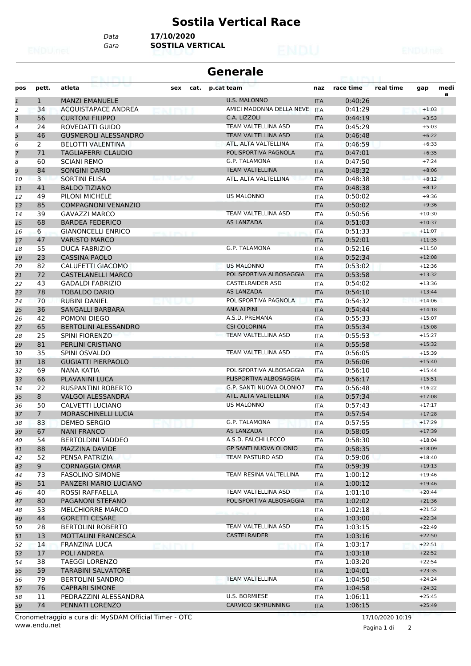#### **Sostila Vertical Race**

*Gara* **SOSTILA VERTICAL** *Data* **17/10/2020**

| Generale |  |
|----------|--|
|----------|--|

| pos            | pett.          | atleta                                       | cat.<br>sex       | p.cat team                   | naz                      | race time          | real time | gap                  | medi |
|----------------|----------------|----------------------------------------------|-------------------|------------------------------|--------------------------|--------------------|-----------|----------------------|------|
| $\mathbf{1}$   | $\mathbf{1}$   | <b>MANZI EMANUELE</b>                        |                   | <b>U.S. MALONNO</b>          | <b>ITA</b>               | 0:40:26            |           |                      | a    |
| $\overline{2}$ | 34             | <b>ACQUISTAPACE ANDREA</b>                   |                   | AMICI MADONNA DELLA NEVE     | <b>ITA</b>               | 0:41:29            |           | $+1:03$              |      |
| 3              | 56             | <b>CURTONI FILIPPO</b>                       |                   | C.A. LIZZOLI                 | <b>ITA</b>               | 0:44:19            |           | $+3:53$              |      |
| 4              | 24             | ROVEDATTI GUIDO                              |                   | TEAM VALTELLINA ASD          | <b>ITA</b>               | 0:45:29            |           | $+5:03$              |      |
| 5              | 46             | <b>GUSMEROLI ALESSANDRO</b>                  |                   | <b>TEAM VALTELLINA ASD</b>   | <b>ITA</b>               | 0:46:48            |           | $+6:22$              |      |
| 6              | 2              | <b>BELOTTI VALENTINA</b>                     |                   | ATL. ALTA VALTELLINA         | <b>ITA</b>               | 0:46:59            |           | $+6:33$              |      |
| 7              | 71             | <b>TAGLIAFERRI CLAUDIO</b>                   |                   | POLISPORTIVA PAGNOLA         | <b>ITA</b>               | 0:47:01            |           | $+6:35$              |      |
| 8              | 60             | <b>SCIANI REMO</b>                           |                   | G.P. TALAMONA                | <b>ITA</b>               | 0:47:50            |           | $+7:24$              |      |
| 9              | 84             | <b>SONGINI DARIO</b>                         |                   | <b>TEAM VALTELLINA</b>       | <b>ITA</b>               | 0:48:32            |           | $+8:06$              |      |
| 10             | 3              | <b>SORTINI ELISA</b>                         |                   | ATL. ALTA VALTELLINA         | <b>ITA</b>               | 0:48:38            |           | $+8:12$              |      |
| 11             | 41             | <b>BALDO TIZIANO</b>                         |                   |                              | <b>ITA</b>               | 0:48:38            |           | $+8:12$              |      |
| 12             | 49<br>85       | PILONI MICHELE<br><b>COMPAGNONI VENANZIO</b> |                   | <b>US MALONNO</b>            | <b>ITA</b>               | 0:50:02<br>0:50:02 |           | $+9:36$<br>$+9:36$   |      |
| 13             | 39             | <b>GAVAZZI MARCO</b>                         |                   | <b>TEAM VALTELLINA ASD</b>   | <b>ITA</b>               | 0:50:56            |           | $+10:30$             |      |
| 14<br>15       | 68             | <b>BARDEA FEDERICO</b>                       |                   | <b>AS LANZADA</b>            | <b>ITA</b><br><b>ITA</b> | 0:51:03            |           | $+10:37$             |      |
| 16             | 6              | <b>GIANONCELLI ENRICO</b>                    |                   |                              | ITA                      | 0:51:33            |           | $+11:07$             |      |
| 17             | 47             | <b>VARISTO MARCO</b>                         | <b>GLESPALE</b> & |                              | <b>ITA</b>               | 0:52:01            |           | $+11:35$             |      |
| 18             | 55             | <b>DUCA FABRIZIO</b>                         |                   | G.P. TALAMONA                | ITA                      | 0:52:16            |           | $+11:50$             |      |
| 19             | 23             | <b>CASSINA PAOLO</b>                         |                   |                              | <b>ITA</b>               | 0:52:34            |           | $+12:08$             |      |
| 20             | 82             | CALUFETTI GIACOMO                            |                   | <b>US MALONNO</b>            | <b>ITA</b>               | 0:53:02            |           | $+12:36$             |      |
| 21             | 72             | <b>CASTELANELLI MARCO</b>                    |                   | POLISPORTIVA ALBOSAGGIA      | <b>ITA</b>               | 0:53:58            |           | $+13:32$             |      |
| 22             | 43             | <b>GADALDI FABRIZIO</b>                      |                   | <b>CASTELRAIDER ASD</b>      | <b>ITA</b>               | 0:54:02            |           | $+13:36$             |      |
| 23             | 78             | <b>TOBALDO DARIO</b>                         |                   | <b>AS LANZADA</b>            | <b>ITA</b>               | 0:54:10            |           | $+13:44$             |      |
| 24             | 70             | <b>RUBINI DANIEL</b>                         |                   | POLISPORTIVA PAGNOLA         | <b>ITA</b>               | 0:54:32            |           | $+14:06$             |      |
| 25             | 36             | <b>SANGALLI BARBARA</b>                      |                   | <b>ANA ALPINI</b>            | <b>ITA</b>               | 0:54:44            |           | $+14:18$             |      |
| 26             | 42             | POMONI DIEGO                                 |                   | A.S.D. PREMANA               | <b>ITA</b>               | 0:55:33            |           | $+15:07$             |      |
| 27             | 65             | <b>BERTOLINI ALESSANDRO</b>                  |                   | <b>CSI COLORINA</b>          | <b>ITA</b>               | 0:55:34            |           | $+15:08$             |      |
| 28             | 25             | <b>SPINI FIORENZO</b>                        |                   | TEAM VALTELLINA ASD          | <b>ITA</b>               | 0:55:53            |           | $+15:27$             |      |
| 29             | 81             | PERLINI CRISTIANO                            |                   |                              | <b>ITA</b>               | 0:55:58            |           | $+15:32$             |      |
| 30             | 35             | SPINI OSVALDO                                |                   | TEAM VALTELLINA ASD          | <b>ITA</b>               | 0:56:05            |           | $+15:39$             |      |
| 31             | 18             | <b>GUGIATTI PIERPAOLO</b>                    |                   |                              | <b>ITA</b>               | 0:56:06            |           | $+15:40$             |      |
| 32             | 69             | NANA KATIA                                   |                   | POLISPORTIVA ALBOSAGGIA      | <b>ITA</b>               | 0:56:10            |           | $+15:44$             |      |
| 33             | 66             | <b>PLAVANINI LUCA</b>                        |                   | PLISPORTIVA ALBOSAGGIA       | <b>ITA</b>               | 0:56:17            |           | $+15:51$             |      |
| 34             | 22             | <b>RUSPANTINI ROBERTO</b>                    |                   | G.P. SANTI NUOVA OLONIO7     | <b>ITA</b>               | 0:56:48            |           | $+16:22$             |      |
| 35             | 8              | <b>VALGOI ALESSANDRA</b>                     |                   | ATL. ALTA VALTELLINA         | <b>ITA</b>               | 0:57:34            |           | $+17:08$             |      |
| 36             | 50             | CALVETTI LUCIANO                             |                   | <b>US MALONNO</b>            | ITA                      | 0:57:43            |           | $+17:17$             |      |
| 37             | $\overline{7}$ | <b>MORASCHINELLI LUCIA</b>                   |                   |                              | <b>ITA</b>               | 0:57:54            |           | $+17:28$             |      |
| 38             | 83             | DEMEO SERGIO                                 |                   | <b>G.P. TALAMONA</b>         | <b>ITA</b>               | 0:57:55            |           | $+17:29$             |      |
| 39             | 67             | <b>NANI FRANCO</b>                           |                   | AS LANZADA                   | <b>ITA</b>               | 0:58:05            |           | $+17:39$             |      |
| 40             | 54             | <b>BERTOLDINI TADDEO</b>                     |                   | A.S.D. FALCHI LECCO          | <b>ITA</b>               | 0:58:30            |           | $+18:04$             |      |
| 41             | 88             | <b>MAZZINA DAVIDE</b>                        |                   | <b>GP SANTI NUOVA OLONIO</b> | <b>ITA</b>               | 0:58:35            |           | $+18:09$             |      |
| 42             | 52             | PENSA PATRIZIA                               |                   | <b>TEAM PASTURO ASD</b>      | ITA                      | 0:59:06            |           | $+18:40$             |      |
| 43             | 9              | <b>CORNAGGIA OMAR</b>                        |                   |                              | <b>ITA</b>               | 0:59:39            |           | $+19:13$             |      |
| 44             | 73             | <b>FASOLINO SIMONE</b>                       |                   | TEAM RESINA VALTELLINA       | <b>ITA</b>               | 1:00:12            |           | $+19:46$             |      |
| 45             | 51             | PANZERI MARIO LUCIANO                        |                   |                              | <b>ITA</b>               | 1:00:12            |           | $+19:46$             |      |
| 46             | 40             | ROSSI RAFFAELLA                              |                   | TEAM VALTELLINA ASD          | <b>ITA</b>               | 1:01:10            |           | $+20:44$             |      |
| 47             | 80             | PAGANONI STEFANO                             |                   | POLISPORTIVA ALBOSAGGIA      | <b>ITA</b>               | 1:02:02            |           | $+21:36$             |      |
| 48             | 53             | <b>MELCHIORRE MARCO</b>                      |                   |                              | ITA                      | 1:02:18            |           | $+21:52$             |      |
| 49             | 44             | <b>GORETTI CESARE</b>                        |                   | TEAM VALTELLINA ASD          | <b>ITA</b>               | 1:03:00            |           | $+22:34$<br>$+22:49$ |      |
| 50             | 28             | <b>BERTOLINI ROBERTO</b>                     |                   |                              | <b>ITA</b>               | 1:03:15            |           |                      |      |
| 51             | 13             | <b>MOTTALINI FRANCESCA</b>                   |                   | <b>CASTELRAIDER</b>          | <b>ITA</b>               | 1:03:16            |           | $+22:50$<br>$+22:51$ |      |
| 52             | 14             | FRANZINA LUCA                                |                   |                              | ITA                      | 1:03:17            |           | $+22:52$             |      |
| 53             | 17<br>38       | POLI ANDREA<br><b>TAEGGI LORENZO</b>         |                   |                              | <b>ITA</b>               | 1:03:18<br>1:03:20 |           | $+22:54$             |      |
| 54             | 59             | <b>TARABINI SALVATORE</b>                    |                   |                              | ITA                      | 1:04:01            |           | $+23:35$             |      |
| 55<br>56       | 79             | <b>BERTOLINI SANDRO</b>                      |                   | <b>TEAM VALTELLINA</b>       | <b>ITA</b><br><b>ITA</b> | 1:04:50            |           | $+24:24$             |      |
|                | 76             | <b>CAPRARI SIMONE</b>                        |                   |                              | <b>ITA</b>               | 1:04:58            |           | $+24:32$             |      |
|                |                |                                              |                   |                              |                          |                    |           |                      |      |
| 57<br>58       | 11             | PEDRAZZINI ALESSANDRA                        |                   | U.S. BORMIESE                | <b>ITA</b>               | 1:06:11            |           | $+25:45$             |      |

www.endu.net Cronometraggio a cura di: MySDAM Official Timer - OTC 17/10/2020 10:19

Pagina 1 di 2